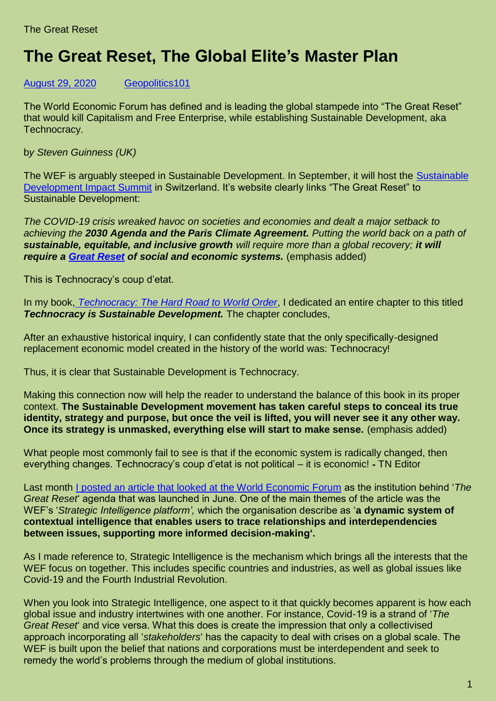## **The Great Reset, The Global Elite's Master Plan**

[August 29, 2020](https://geopolitics.co/2020/08/29/breaking-down-the-global-elites-great-reset-master-plan/) [Geopolitics101](https://geopolitics.co/author/eclinik/)

The World Economic Forum has defined and is leading the global stampede into "The Great Reset" that would kill Capitalism and Free Enterprise, while establishing Sustainable Development, aka Technocracy.

b*y Steven Guinness (UK)*

The WEF is arguably steeped in Sustainable Development. In September, it will host the [Sustainable](https://www.weforum.org/events/sustainable-development-impact-summit-2020)  [Development Impact Summit](https://www.weforum.org/events/sustainable-development-impact-summit-2020) in Switzerland. It's website clearly links "The Great Reset" to Sustainable Development:

*The COVID-19 crisis wreaked havoc on societies and economies and dealt a major setback to achieving the 2030 Agenda and the Paris Climate Agreement. Putting the world back on a path of sustainable, equitable, and inclusive growth will require more than a global recovery; it will require a [Great Reset](https://www.weforum.org/great-reset) of social and economic systems.* (emphasis added)

This is Technocracy's coup d'etat.

In my book, *[Technocracy: The Hard Road to World Order](https://www.technocracy.news/product/technocracy-the-hard-road-to-world-order/)*, I dedicated an entire chapter to this titled **Technocracy is Sustainable Development.** The chapter concludes,

After an exhaustive historical inquiry, I can confidently state that the only specifically-designed replacement economic model created in the history of the world was: Technocracy!

Thus, it is clear that Sustainable Development is Technocracy.

Making this connection now will help the reader to understand the balance of this book in its proper context. **The Sustainable Development movement has taken careful steps to conceal its true identity, strategy and purpose, but once the veil is lifted, you will never see it any other way. Once its strategy is unmasked, everything else will start to make sense.** (emphasis added)

What people most commonly fail to see is that if the economic system is radically changed, then everything changes. Technocracy's coup d'etat is not political – it is economic! ⁃ TN Editor

Last month [I posted an article that looked at the World Economic Forum](https://stevenguinness2.wordpress.com/2020/07/08/world-economic-forum-a-look-at-the-institution-behind-the-great-reset/) as the institution behind '*The Great Reset*' agenda that was launched in June. One of the main themes of the article was the WEF's '*Strategic Intelligence platform',* which the organisation describe as '**a dynamic system of contextual intelligence that enables users to trace relationships and interdependencies between issues, supporting more informed decision-making'.**

As I made reference to, Strategic Intelligence is the mechanism which brings all the interests that the WEF focus on together. This includes specific countries and industries, as well as global issues like Covid-19 and the Fourth Industrial Revolution.

When you look into Strategic Intelligence, one aspect to it that quickly becomes apparent is how each global issue and industry intertwines with one another. For instance, Covid-19 is a strand of '*The Great Reset*' and vice versa. What this does is create the impression that only a collectivised approach incorporating all '*stakeholders*' has the capacity to deal with crises on a global scale. The WEF is built upon the belief that nations and corporations must be interdependent and seek to remedy the world's problems through the medium of global institutions.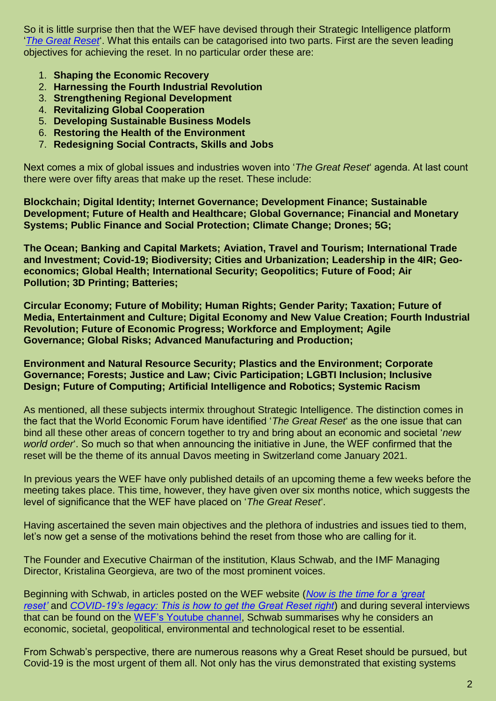So it is little surprise then that the WEF have devised through their Strategic Intelligence platform '*[The Great Reset](https://intelligence.weforum.org/topics/a1G0X000006OLciUAG?tab=publications)*'. What this entails can be catagorised into two parts. First are the seven leading objectives for achieving the reset. In no particular order these are:

- 1. **Shaping the Economic Recovery**
- 2. **Harnessing the Fourth Industrial Revolution**
- 3. **Strengthening Regional Development**
- 4. **Revitalizing Global Cooperation**
- 5. **Developing Sustainable Business Models**
- 6. **Restoring the Health of the Environment**
- 7. **Redesigning Social Contracts, Skills and Jobs**

Next comes a mix of global issues and industries woven into '*The Great Reset*' agenda. At last count there were over fifty areas that make up the reset. These include:

**Blockchain; Digital Identity; Internet Governance; Development Finance; Sustainable Development; Future of Health and Healthcare; Global Governance; Financial and Monetary Systems; Public Finance and Social Protection; Climate Change; Drones; 5G;**

**The Ocean; Banking and Capital Markets; Aviation, Travel and Tourism; International Trade and Investment; Covid-19; Biodiversity; Cities and Urbanization; Leadership in the 4IR; Geoeconomics; Global Health; International Security; Geopolitics; Future of Food; Air Pollution; 3D Printing; Batteries;**

**Circular Economy; Future of Mobility; Human Rights; Gender Parity; Taxation; Future of Media, Entertainment and Culture; Digital Economy and New Value Creation; Fourth Industrial Revolution; Future of Economic Progress; Workforce and Employment; Agile Governance; Global Risks; Advanced Manufacturing and Production;**

**Environment and Natural Resource Security; Plastics and the Environment; Corporate Governance; Forests; Justice and Law; Civic Participation; LGBTI Inclusion; Inclusive Design; Future of Computing; Artificial Intelligence and Robotics; Systemic Racism**

As mentioned, all these subjects intermix throughout Strategic Intelligence. The distinction comes in the fact that the World Economic Forum have identified '*The Great Reset*' as the one issue that can bind all these other areas of concern together to try and bring about an economic and societal '*new world order*'. So much so that when announcing the initiative in June, the WEF confirmed that the reset will be the theme of its annual Davos meeting in Switzerland come January 2021.

In previous years the WEF have only published details of an upcoming theme a few weeks before the meeting takes place. This time, however, they have given over six months notice, which suggests the level of significance that the WEF have placed on '*The Great Reset*'.

Having ascertained the seven main objectives and the plethora of industries and issues tied to them, let's now get a sense of the motivations behind the reset from those who are calling for it.

The Founder and Executive Chairman of the institution, Klaus Schwab, and the IMF Managing Director, Kristalina Georgieva, are two of the most prominent voices.

Beginning with Schwab, in articles posted on the WEF website (*Now is the [time for a 'great](https://www.weforum.org/agenda/2020/06/now-is-the-time-for-a-great-reset/)  [reset'](https://www.weforum.org/agenda/2020/06/now-is-the-time-for-a-great-reset/)* and *[COVID-19's legacy: This is how to get the Great Reset right](https://www.weforum.org/agenda/2020/07/covid19-this-is-how-to-get-the-great-reset-right/?utm_source=sfmc&utm_medium=email&utm_campaign=2726095_Agenda_weekly-17July2020&utm_term=&emailType=Newsletter)*) and during several interviews that can be found on the [WEF's Youtube channel,](https://www.youtube.com/channel/UCw-kH-Od73XDAt7qtH9uBYA) Schwab summarises why he considers an economic, societal, geopolitical, environmental and technological reset to be essential.

From Schwab's perspective, there are numerous reasons why a Great Reset should be pursued, but Covid-19 is the most urgent of them all. Not only has the virus demonstrated that existing systems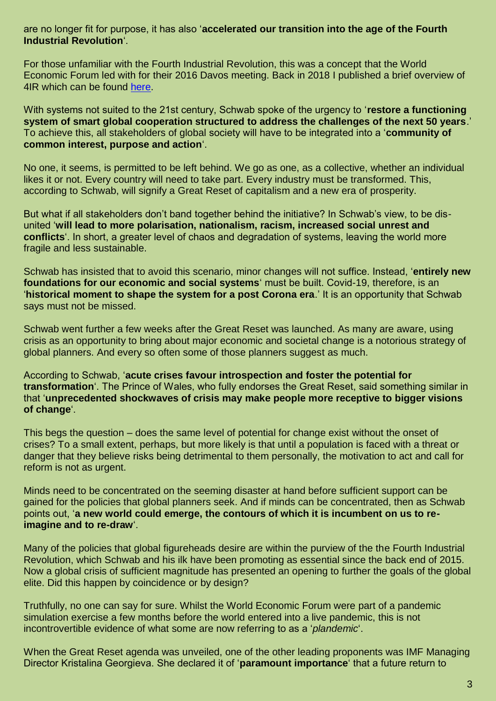## are no longer fit for purpose, it has also '**accelerated our transition into the age of the Fourth Industrial Revolution**'.

For those unfamiliar with the Fourth Industrial Revolution, this was a concept that the World Economic Forum led with for their 2016 Davos meeting. Back in 2018 I published a brief overview of 4IR which can be found [here.](https://stevenguinness2.wordpress.com/2018/08/30/4th-industrial-revolution-mission-creep-towards-a-new-world-order-part-one/)

With systems not suited to the 21st century, Schwab spoke of the urgency to '**restore a functioning system of smart global cooperation structured to address the challenges of the next 50 years**.' To achieve this, all stakeholders of global society will have to be integrated into a '**community of common interest, purpose and action**'.

No one, it seems, is permitted to be left behind. We go as one, as a collective, whether an individual likes it or not. Every country will need to take part. Every industry must be transformed. This, according to Schwab, will signify a Great Reset of capitalism and a new era of prosperity.

But what if all stakeholders don't band together behind the initiative? In Schwab's view, to be disunited '**will lead to more polarisation, nationalism, racism, increased social unrest and conflicts**'. In short, a greater level of chaos and degradation of systems, leaving the world more fragile and less sustainable.

Schwab has insisted that to avoid this scenario, minor changes will not suffice. Instead, '**entirely new foundations for our economic and social systems**' must be built. Covid-19, therefore, is an '**historical moment to shape the system for a post Corona era**.' It is an opportunity that Schwab says must not be missed.

Schwab went further a few weeks after the Great Reset was launched. As many are aware, using crisis as an opportunity to bring about major economic and societal change is a notorious strategy of global planners. And every so often some of those planners suggest as much.

According to Schwab, '**acute crises favour introspection and foster the potential for transformation**'. The Prince of Wales, who fully endorses the Great Reset, said something similar in that '**unprecedented shockwaves of crisis may make people more receptive to bigger visions of change**'.

This begs the question – does the same level of potential for change exist without the onset of crises? To a small extent, perhaps, but more likely is that until a population is faced with a threat or danger that they believe risks being detrimental to them personally, the motivation to act and call for reform is not as urgent.

Minds need to be concentrated on the seeming disaster at hand before sufficient support can be gained for the policies that global planners seek. And if minds can be concentrated, then as Schwab points out, '**a new world could emerge, the contours of which it is incumbent on us to reimagine and to re-draw**'.

Many of the policies that global figureheads desire are within the purview of the the Fourth Industrial Revolution, which Schwab and his ilk have been promoting as essential since the back end of 2015. Now a global crisis of sufficient magnitude has presented an opening to further the goals of the global elite. Did this happen by coincidence or by design?

Truthfully, no one can say for sure. Whilst the World Economic Forum were part of a pandemic simulation exercise a few months before the world entered into a live pandemic, this is not incontrovertible evidence of what some are now referring to as a '*plandemic*'.

When the Great Reset agenda was unveiled, one of the other leading proponents was IMF Managing Director Kristalina Georgieva. She declared it of '**paramount importance**' that a future return to